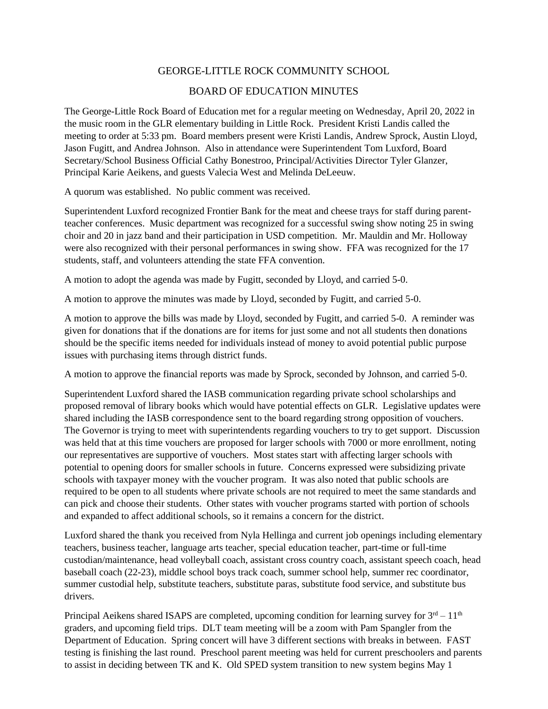## GEORGE-LITTLE ROCK COMMUNITY SCHOOL

## BOARD OF EDUCATION MINUTES

The George-Little Rock Board of Education met for a regular meeting on Wednesday, April 20, 2022 in the music room in the GLR elementary building in Little Rock. President Kristi Landis called the meeting to order at 5:33 pm. Board members present were Kristi Landis, Andrew Sprock, Austin Lloyd, Jason Fugitt, and Andrea Johnson. Also in attendance were Superintendent Tom Luxford, Board Secretary/School Business Official Cathy Bonestroo, Principal/Activities Director Tyler Glanzer, Principal Karie Aeikens, and guests Valecia West and Melinda DeLeeuw.

A quorum was established. No public comment was received.

Superintendent Luxford recognized Frontier Bank for the meat and cheese trays for staff during parentteacher conferences. Music department was recognized for a successful swing show noting 25 in swing choir and 20 in jazz band and their participation in USD competition. Mr. Mauldin and Mr. Holloway were also recognized with their personal performances in swing show. FFA was recognized for the 17 students, staff, and volunteers attending the state FFA convention.

A motion to adopt the agenda was made by Fugitt, seconded by Lloyd, and carried 5-0.

A motion to approve the minutes was made by Lloyd, seconded by Fugitt, and carried 5-0.

A motion to approve the bills was made by Lloyd, seconded by Fugitt, and carried 5-0. A reminder was given for donations that if the donations are for items for just some and not all students then donations should be the specific items needed for individuals instead of money to avoid potential public purpose issues with purchasing items through district funds.

A motion to approve the financial reports was made by Sprock, seconded by Johnson, and carried 5-0.

Superintendent Luxford shared the IASB communication regarding private school scholarships and proposed removal of library books which would have potential effects on GLR. Legislative updates were shared including the IASB correspondence sent to the board regarding strong opposition of vouchers. The Governor is trying to meet with superintendents regarding vouchers to try to get support. Discussion was held that at this time vouchers are proposed for larger schools with 7000 or more enrollment, noting our representatives are supportive of vouchers. Most states start with affecting larger schools with potential to opening doors for smaller schools in future. Concerns expressed were subsidizing private schools with taxpayer money with the voucher program. It was also noted that public schools are required to be open to all students where private schools are not required to meet the same standards and can pick and choose their students. Other states with voucher programs started with portion of schools and expanded to affect additional schools, so it remains a concern for the district.

Luxford shared the thank you received from Nyla Hellinga and current job openings including elementary teachers, business teacher, language arts teacher, special education teacher, part-time or full-time custodian/maintenance, head volleyball coach, assistant cross country coach, assistant speech coach, head baseball coach (22-23), middle school boys track coach, summer school help, summer rec coordinator, summer custodial help, substitute teachers, substitute paras, substitute food service, and substitute bus drivers.

Principal Aeikens shared ISAPS are completed, upcoming condition for learning survey for  $3<sup>rd</sup> - 11<sup>th</sup>$ graders, and upcoming field trips. DLT team meeting will be a zoom with Pam Spangler from the Department of Education. Spring concert will have 3 different sections with breaks in between. FAST testing is finishing the last round. Preschool parent meeting was held for current preschoolers and parents to assist in deciding between TK and K. Old SPED system transition to new system begins May 1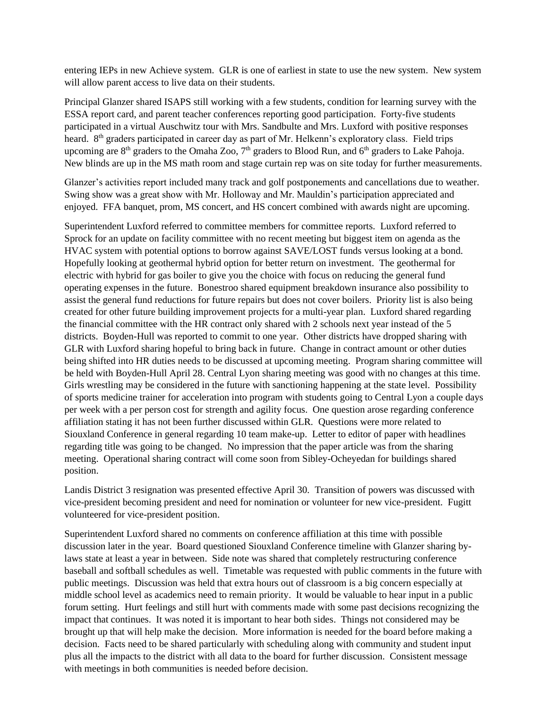entering IEPs in new Achieve system. GLR is one of earliest in state to use the new system. New system will allow parent access to live data on their students.

Principal Glanzer shared ISAPS still working with a few students, condition for learning survey with the ESSA report card, and parent teacher conferences reporting good participation. Forty-five students participated in a virtual Auschwitz tour with Mrs. Sandbulte and Mrs. Luxford with positive responses heard. 8<sup>th</sup> graders participated in career day as part of Mr. Helkenn's exploratory class. Field trips upcoming are 8<sup>th</sup> graders to the Omaha Zoo, 7<sup>th</sup> graders to Blood Run, and 6<sup>th</sup> graders to Lake Pahoja. New blinds are up in the MS math room and stage curtain rep was on site today for further measurements.

Glanzer's activities report included many track and golf postponements and cancellations due to weather. Swing show was a great show with Mr. Holloway and Mr. Mauldin's participation appreciated and enjoyed. FFA banquet, prom, MS concert, and HS concert combined with awards night are upcoming.

Superintendent Luxford referred to committee members for committee reports. Luxford referred to Sprock for an update on facility committee with no recent meeting but biggest item on agenda as the HVAC system with potential options to borrow against SAVE/LOST funds versus looking at a bond. Hopefully looking at geothermal hybrid option for better return on investment. The geothermal for electric with hybrid for gas boiler to give you the choice with focus on reducing the general fund operating expenses in the future. Bonestroo shared equipment breakdown insurance also possibility to assist the general fund reductions for future repairs but does not cover boilers. Priority list is also being created for other future building improvement projects for a multi-year plan. Luxford shared regarding the financial committee with the HR contract only shared with 2 schools next year instead of the 5 districts. Boyden-Hull was reported to commit to one year. Other districts have dropped sharing with GLR with Luxford sharing hopeful to bring back in future. Change in contract amount or other duties being shifted into HR duties needs to be discussed at upcoming meeting. Program sharing committee will be held with Boyden-Hull April 28. Central Lyon sharing meeting was good with no changes at this time. Girls wrestling may be considered in the future with sanctioning happening at the state level. Possibility of sports medicine trainer for acceleration into program with students going to Central Lyon a couple days per week with a per person cost for strength and agility focus. One question arose regarding conference affiliation stating it has not been further discussed within GLR. Questions were more related to Siouxland Conference in general regarding 10 team make-up. Letter to editor of paper with headlines regarding title was going to be changed. No impression that the paper article was from the sharing meeting. Operational sharing contract will come soon from Sibley-Ocheyedan for buildings shared position.

Landis District 3 resignation was presented effective April 30. Transition of powers was discussed with vice-president becoming president and need for nomination or volunteer for new vice-president. Fugitt volunteered for vice-president position.

Superintendent Luxford shared no comments on conference affiliation at this time with possible discussion later in the year. Board questioned Siouxland Conference timeline with Glanzer sharing bylaws state at least a year in between. Side note was shared that completely restructuring conference baseball and softball schedules as well. Timetable was requested with public comments in the future with public meetings. Discussion was held that extra hours out of classroom is a big concern especially at middle school level as academics need to remain priority. It would be valuable to hear input in a public forum setting. Hurt feelings and still hurt with comments made with some past decisions recognizing the impact that continues. It was noted it is important to hear both sides. Things not considered may be brought up that will help make the decision. More information is needed for the board before making a decision. Facts need to be shared particularly with scheduling along with community and student input plus all the impacts to the district with all data to the board for further discussion. Consistent message with meetings in both communities is needed before decision.